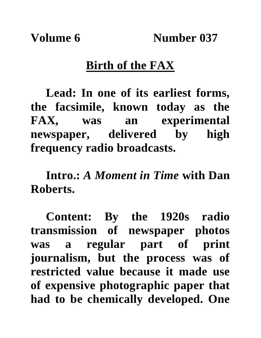**Volume 6 Number 037**

## **Birth of the FAX**

**Lead: In one of its earliest forms, the facsimile, known today as the FAX, was an experimental newspaper, delivered by high frequency radio broadcasts.**

**Intro.:** *A Moment in Time* **with Dan Roberts.**

**Content: By the 1920s radio transmission of newspaper photos was a regular part of print journalism, but the process was of restricted value because it made use of expensive photographic paper that had to be chemically developed. One**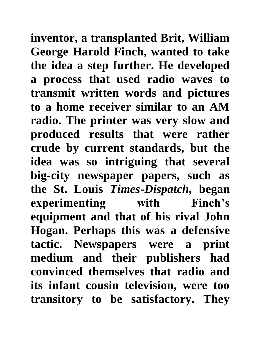**inventor, a transplanted Brit, William George Harold Finch, wanted to take the idea a step further. He developed a process that used radio waves to transmit written words and pictures to a home receiver similar to an AM radio. The printer was very slow and produced results that were rather crude by current standards, but the idea was so intriguing that several big-city newspaper papers, such as the St. Louis** *Times-Dispatch,* **began experimenting with Finch's equipment and that of his rival John Hogan. Perhaps this was a defensive tactic. Newspapers were a print medium and their publishers had convinced themselves that radio and its infant cousin television, were too transitory to be satisfactory. They**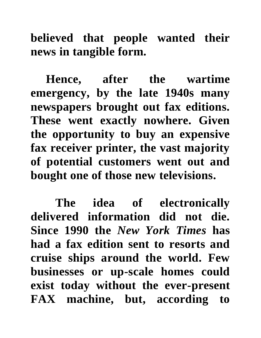**believed that people wanted their news in tangible form.** 

**Hence, after the wartime emergency, by the late 1940s many newspapers brought out fax editions. These went exactly nowhere. Given the opportunity to buy an expensive fax receiver printer, the vast majority of potential customers went out and bought one of those new televisions.**

 **The idea of electronically delivered information did not die. Since 1990 the** *New York Times* **has had a fax edition sent to resorts and cruise ships around the world. Few businesses or up-scale homes could exist today without the ever-present FAX machine, but, according to**